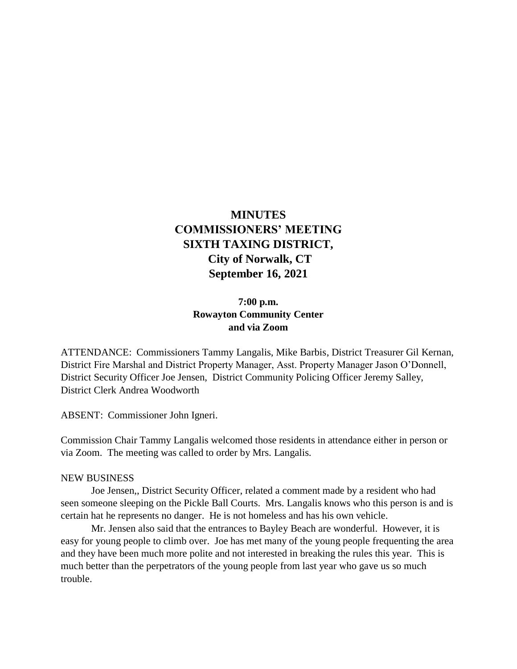# **MINUTES COMMISSIONERS' MEETING SIXTH TAXING DISTRICT, City of Norwalk, CT September 16, 2021**

## **7:00 p.m. Rowayton Community Center and via Zoom**

ATTENDANCE: Commissioners Tammy Langalis, Mike Barbis, District Treasurer Gil Kernan, District Fire Marshal and District Property Manager, Asst. Property Manager Jason O'Donnell, District Security Officer Joe Jensen, District Community Policing Officer Jeremy Salley, District Clerk Andrea Woodworth

ABSENT: Commissioner John Igneri.

Commission Chair Tammy Langalis welcomed those residents in attendance either in person or via Zoom. The meeting was called to order by Mrs. Langalis.

#### NEW BUSINESS

Joe Jensen,, District Security Officer, related a comment made by a resident who had seen someone sleeping on the Pickle Ball Courts. Mrs. Langalis knows who this person is and is certain hat he represents no danger. He is not homeless and has his own vehicle.

Mr. Jensen also said that the entrances to Bayley Beach are wonderful. However, it is easy for young people to climb over. Joe has met many of the young people frequenting the area and they have been much more polite and not interested in breaking the rules this year. This is much better than the perpetrators of the young people from last year who gave us so much trouble.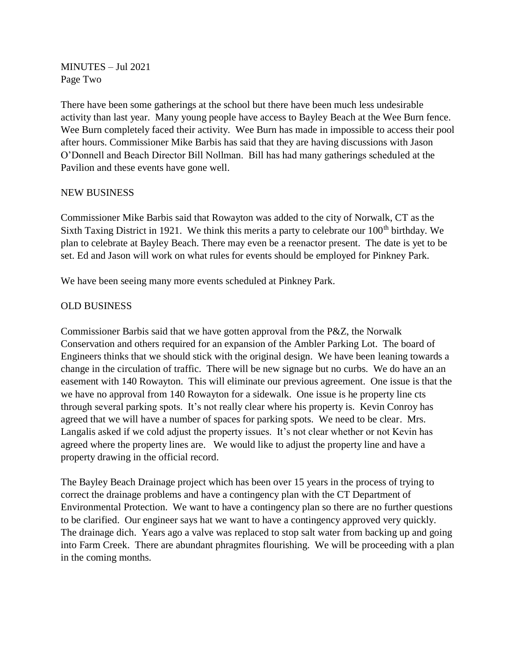MINUTES – Jul 2021 Page Two

There have been some gatherings at the school but there have been much less undesirable activity than last year. Many young people have access to Bayley Beach at the Wee Burn fence. Wee Burn completely faced their activity. Wee Burn has made in impossible to access their pool after hours. Commissioner Mike Barbis has said that they are having discussions with Jason O'Donnell and Beach Director Bill Nollman. Bill has had many gatherings scheduled at the Pavilion and these events have gone well.

#### NEW BUSINESS

Commissioner Mike Barbis said that Rowayton was added to the city of Norwalk, CT as the Sixth Taxing District in 1921. We think this merits a party to celebrate our  $100<sup>th</sup>$  birthday. We plan to celebrate at Bayley Beach. There may even be a reenactor present. The date is yet to be set. Ed and Jason will work on what rules for events should be employed for Pinkney Park.

We have been seeing many more events scheduled at Pinkney Park.

#### OLD BUSINESS

Commissioner Barbis said that we have gotten approval from the P&Z, the Norwalk Conservation and others required for an expansion of the Ambler Parking Lot. The board of Engineers thinks that we should stick with the original design. We have been leaning towards a change in the circulation of traffic. There will be new signage but no curbs. We do have an an easement with 140 Rowayton. This will eliminate our previous agreement. One issue is that the we have no approval from 140 Rowayton for a sidewalk. One issue is he property line cts through several parking spots. It's not really clear where his property is. Kevin Conroy has agreed that we will have a number of spaces for parking spots. We need to be clear. Mrs. Langalis asked if we cold adjust the property issues. It's not clear whether or not Kevin has agreed where the property lines are. We would like to adjust the property line and have a property drawing in the official record.

The Bayley Beach Drainage project which has been over 15 years in the process of trying to correct the drainage problems and have a contingency plan with the CT Department of Environmental Protection. We want to have a contingency plan so there are no further questions to be clarified. Our engineer says hat we want to have a contingency approved very quickly. The drainage dich. Years ago a valve was replaced to stop salt water from backing up and going into Farm Creek. There are abundant phragmites flourishing. We will be proceeding with a plan in the coming months.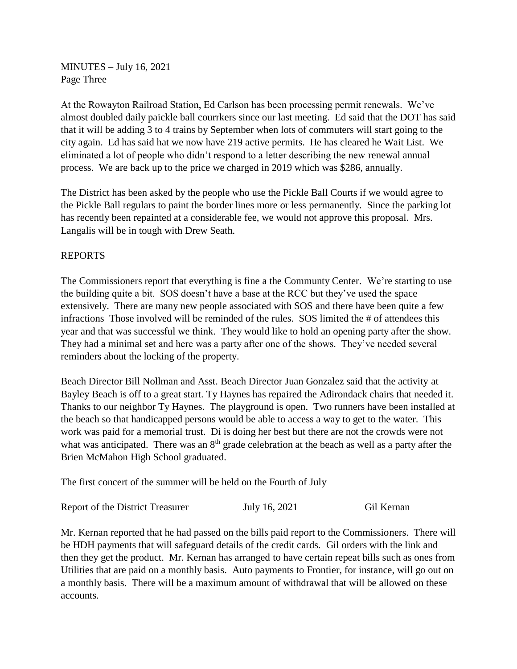MINUTES – July 16, 2021 Page Three

At the Rowayton Railroad Station, Ed Carlson has been processing permit renewals. We've almost doubled daily paickle ball courrkers since our last meeting. Ed said that the DOT has said that it will be adding 3 to 4 trains by September when lots of commuters will start going to the city again. Ed has said hat we now have 219 active permits. He has cleared he Wait List. We eliminated a lot of people who didn't respond to a letter describing the new renewal annual process. We are back up to the price we charged in 2019 which was \$286, annually.

The District has been asked by the people who use the Pickle Ball Courts if we would agree to the Pickle Ball regulars to paint the border lines more or less permanently. Since the parking lot has recently been repainted at a considerable fee, we would not approve this proposal. Mrs. Langalis will be in tough with Drew Seath.

### REPORTS

The Commissioners report that everything is fine a the Communty Center. We're starting to use the building quite a bit. SOS doesn't have a base at the RCC but they've used the space extensively. There are many new people associated with SOS and there have been quite a few infractions Those involved will be reminded of the rules. SOS limited the # of attendees this year and that was successful we think. They would like to hold an opening party after the show. They had a minimal set and here was a party after one of the shows. They've needed several reminders about the locking of the property.

Beach Director Bill Nollman and Asst. Beach Director Juan Gonzalez said that the activity at Bayley Beach is off to a great start. Ty Haynes has repaired the Adirondack chairs that needed it. Thanks to our neighbor Ty Haynes. The playground is open. Two runners have been installed at the beach so that handicapped persons would be able to access a way to get to the water. This work was paid for a memorial trust. Di is doing her best but there are not the crowds were not what was anticipated. There was an  $8<sup>th</sup>$  grade celebration at the beach as well as a party after the Brien McMahon High School graduated.

The first concert of the summer will be held on the Fourth of July

Report of the District Treasurer July 16, 2021 Gil Kernan

Mr. Kernan reported that he had passed on the bills paid report to the Commissioners. There will be HDH payments that will safeguard details of the credit cards. Gil orders with the link and then they get the product. Mr. Kernan has arranged to have certain repeat bills such as ones from Utilities that are paid on a monthly basis. Auto payments to Frontier, for instance, will go out on a monthly basis. There will be a maximum amount of withdrawal that will be allowed on these accounts.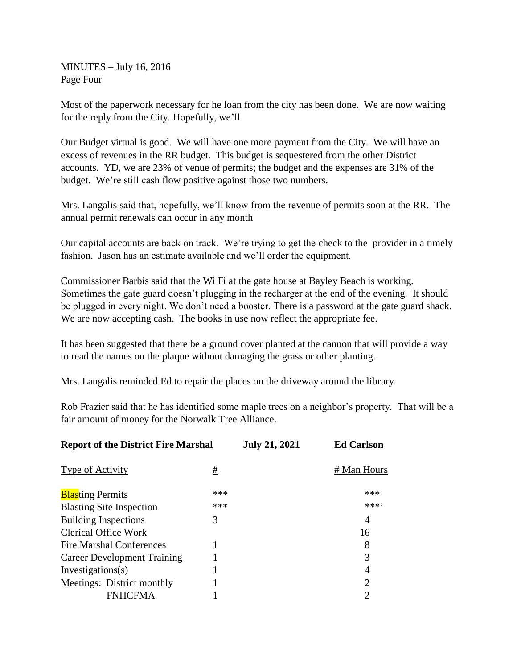MINUTES – July 16, 2016 Page Four

Most of the paperwork necessary for he loan from the city has been done. We are now waiting for the reply from the City. Hopefully, we'll

Our Budget virtual is good. We will have one more payment from the City. We will have an excess of revenues in the RR budget. This budget is sequestered from the other District accounts. YD, we are 23% of venue of permits; the budget and the expenses are 31% of the budget. We're still cash flow positive against those two numbers.

Mrs. Langalis said that, hopefully, we'll know from the revenue of permits soon at the RR. The annual permit renewals can occur in any month

Our capital accounts are back on track. We're trying to get the check to the provider in a timely fashion. Jason has an estimate available and we'll order the equipment.

Commissioner Barbis said that the Wi Fi at the gate house at Bayley Beach is working. Sometimes the gate guard doesn't plugging in the recharger at the end of the evening. It should be plugged in every night. We don't need a booster. There is a password at the gate guard shack. We are now accepting cash. The books in use now reflect the appropriate fee.

It has been suggested that there be a ground cover planted at the cannon that will provide a way to read the names on the plaque without damaging the grass or other planting.

Mrs. Langalis reminded Ed to repair the places on the driveway around the library.

Rob Frazier said that he has identified some maple trees on a neighbor's property. That will be a fair amount of money for the Norwalk Tree Alliance.

| <b>Report of the District Fire Marshal</b> |     | <b>July 21, 2021</b> | <b>Ed Carlson</b> |
|--------------------------------------------|-----|----------------------|-------------------|
| Type of Activity                           | #   |                      | # Man Hours       |
| <b>Blasting Permits</b>                    | *** |                      | ***               |
| <b>Blasting Site Inspection</b>            | *** |                      | ****              |
| <b>Building Inspections</b>                | 3   |                      | 4                 |
| Clerical Office Work                       |     |                      | 16                |
| Fire Marshal Conferences                   |     |                      | 8                 |
| <b>Career Development Training</b>         |     |                      | 3                 |
| Investigations(s)                          |     |                      | 4                 |
| Meetings: District monthly                 |     |                      | $\overline{2}$    |
| FNHCFMA                                    |     |                      | $\overline{2}$    |